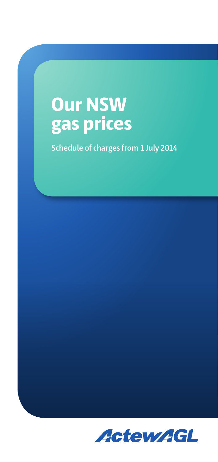# **Our NSW gas prices**

**Schedule of charges from 1 July 2014**

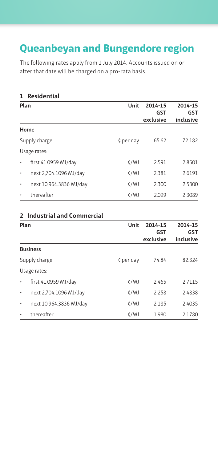### **Queanbeyan and Bungendore region**

The following rates apply from 1 July 2014. Accounts issued on or after that date will be charged on a pro-rata basis.

#### **1 Residential**

| Plan      |                         | Unit        | 2014-15<br>GST | 2014-15<br>GST |
|-----------|-------------------------|-------------|----------------|----------------|
|           | Home                    |             | exclusive      | inclusive      |
|           | Supply charge           | $¢$ per day | 65.62          | 72.182         |
|           | Usage rates:            |             |                |                |
| $\bullet$ | first 41.0959 MJ/day    | $\zeta/MJ$  | 2.591          | 2.8501         |
| $\bullet$ | next 2,704.1096 MJ/day  | $\zeta/MJ$  | 2.381          | 2.6191         |
| $\bullet$ | next 10,964.3836 MJ/day | $\zeta/MJ$  | 2.300          | 2.5300         |
| ٠         | thereafter              | $\zeta/M$   | 2.099          | 2.3089         |

#### **2 Industrial and Commercial**

| Plan      |                         | Unit        | 2014-15<br>GST<br>exclusive | 2014-15<br>GST<br>inclusive |
|-----------|-------------------------|-------------|-----------------------------|-----------------------------|
|           | <b>Business</b>         |             |                             |                             |
|           | Supply charge           | $¢$ per day | 74.84                       | 82.324                      |
|           | Usage rates:            |             |                             |                             |
| $\bullet$ | first 41.0959 MJ/day    | $\zeta/MJ$  | 2.465                       | 2.7115                      |
| $\bullet$ | next 2,704.1096 MJ/day  | $\zeta/MJ$  | 2.258                       | 2.4838                      |
| $\bullet$ | next 10,964.3836 MJ/day | $\zeta/MJ$  | 2.185                       | 2.4035                      |
| ٠         | thereafter              | $\zeta/M$   | 1.980                       | 2.1780                      |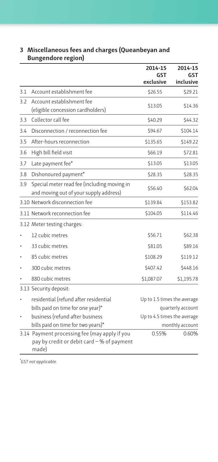|     |                                                                                                      | 2014-15<br>GST<br>exclusive                      | 2014-15<br>GST<br>inclusive |
|-----|------------------------------------------------------------------------------------------------------|--------------------------------------------------|-----------------------------|
| 3.1 | Account establishment fee                                                                            | \$26.55                                          | \$29.21                     |
| 3.2 | Account establishment fee<br>(eligible concession cardholders)                                       | \$13.05                                          | \$14.36                     |
| 3.3 | Collector call fee                                                                                   | \$40.29                                          | \$44.32                     |
| 3.4 | Disconnection / reconnection fee                                                                     | \$94.67                                          | \$104.14                    |
| 3.5 | After-hours reconnection                                                                             | \$135.65                                         | \$149.22                    |
| 3.6 | High bill field visit                                                                                | \$66.19                                          | \$72.81                     |
| 3.7 | Late payment fee*                                                                                    | \$13.05                                          | \$13.05                     |
| 3.8 | Dishonoured payment*                                                                                 | \$28.35                                          | \$28.35                     |
| 3.9 | Special meter read fee (including moving in<br>and moving out of your supply address)                | \$56.40                                          | \$62.04                     |
|     | 3.10 Network disconnection fee                                                                       | \$139.84                                         | \$153.82                    |
|     | 3.11 Network reconnection fee                                                                        | \$104.05                                         | \$114.46                    |
|     | 3.12 Meter testing charges:                                                                          |                                                  |                             |
|     | 12 cubic metres                                                                                      | \$56.71                                          | \$62.38                     |
|     | 33 cubic metres                                                                                      | \$81.05                                          | \$89.16                     |
|     | 85 cubic metres                                                                                      | \$108.29                                         | \$119.12                    |
|     | 300 cubic metres                                                                                     | \$407.42                                         | \$448.16                    |
|     | 880 cubic metres                                                                                     | \$1,087.07                                       | \$1,195.78                  |
|     | 3.13 Security deposit:                                                                               |                                                  |                             |
|     | residential (refund after residential<br>bills paid on time for one year)*                           | Up to 1.5 times the average<br>quarterly account |                             |
|     | business (refund after business                                                                      | Up to 4.5 times the average                      |                             |
|     | bills paid on time for two years)*                                                                   |                                                  | monthly account             |
|     | 3.14 Payment processing fee (may apply if you<br>pay by credit or debit card - % of payment<br>made) | 0.55%                                            | 0.60%                       |

#### **3 Miscellaneous fees and charges (Queanbeyan and Bungendore region)**

\* *GST not applicable.*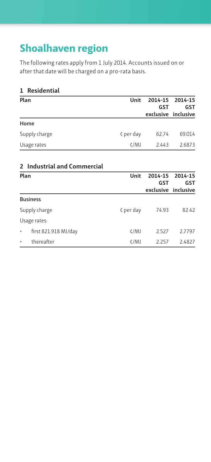## **Shoalhaven region**

The following rates apply from 1 July 2014. Accounts issued on or after that date will be charged on a pro-rata basis.

#### **1 Residential**

| Plan          | Unit        | GST                 | 2014-15 2014-15<br><b>GST</b> |
|---------------|-------------|---------------------|-------------------------------|
|               |             | exclusive inclusive |                               |
| Home          |             |                     |                               |
| Supply charge | $¢$ per day | 62.74               | 69.014                        |
| Usage rates   | $\zeta/MJ$  | 2.443               | 2.6873                        |

#### **2 Industrial and Commercial Plan Unit 2014-15 GST exclusive inclusive 2014-15 GST Business** Supply charge  $\zeta$  per day 74.93 82.42 Usage rates: • first 821.918 MJ/day ¢/MJ 2.527 2.7797 • thereafter ¢/MJ 2.257 2.4827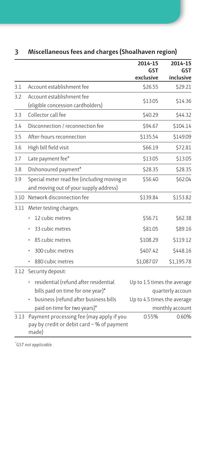|      |                                                                                                                          | 2014-15<br>GST<br>exclusive                                | 2014-15<br>GST<br>inclusive |
|------|--------------------------------------------------------------------------------------------------------------------------|------------------------------------------------------------|-----------------------------|
| 3.1  | Account establishment fee                                                                                                | \$26.55                                                    | \$29.21                     |
| 3.2  | Account establishment fee<br>(eligible concession cardholders)                                                           | \$13.05                                                    | \$14.36                     |
| 3.3  | Collector call fee                                                                                                       | \$40.29                                                    | \$44.32                     |
| 3.4  | Disconnection / reconnection fee                                                                                         | \$94.67                                                    | \$104.14                    |
| 3.5  | After-hours reconnection                                                                                                 | \$135.54                                                   | \$149.09                    |
| 3.6  | High bill field visit                                                                                                    | \$66.19                                                    | \$72.81                     |
| 3.7  | Late payment fee*                                                                                                        | \$13.05                                                    | \$13.05                     |
| 3.8  | Dishonoured payment*                                                                                                     | \$28.35                                                    | \$28.35                     |
| 3.9  | Special meter read fee (including moving in<br>and moving out of your supply address)                                    | \$56.40                                                    | \$62.04                     |
| 3.10 | Network disconnection fee                                                                                                | \$139.84                                                   | \$153.82                    |
| 3.11 | Meter testing charges:                                                                                                   |                                                            |                             |
|      | 12 cubic metres                                                                                                          | \$56.71                                                    | \$62.38                     |
|      | 33 cubic metres                                                                                                          | \$81.05                                                    | \$89.16                     |
|      | 85 cubic metres                                                                                                          | \$108.29                                                   | \$119.12                    |
|      | 300 cubic metres                                                                                                         | \$407.42                                                   | \$448.16                    |
|      | 880 cubic metres<br>٠                                                                                                    | \$1,087.07                                                 | \$1,195.78                  |
|      | 3.12 Security deposit:                                                                                                   |                                                            |                             |
|      | residential (refund after residential<br>bills paid on time for one year)*<br>business (refund after business bills<br>٠ | Up to 1.5 times the average<br>Up to 4.5 times the average | quarterly accoun            |
|      | paid on time for two years)*                                                                                             |                                                            | monthly account             |
| 3.13 | Payment processing fee (may apply if you<br>pay by credit or debit card - % of payment<br>made)                          | 0.55%                                                      | 0.60%                       |

### **3 Miscellaneous fees and charges (Shoalhaven region)**

\* *GST not applicable.*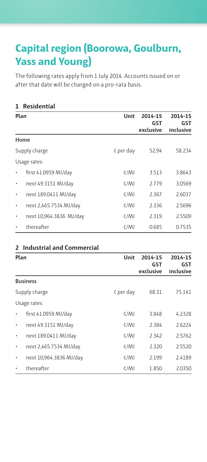# **Capital region (Boorowa, Goulburn, Yass and Young)**

The following rates apply from 1 July 2014. Accounts issued on or after that date will be charged on a pro-rata basis.

#### **1 Residential**

| Plan          |                         | Unit       | 2014-15          | 2014-15          |
|---------------|-------------------------|------------|------------------|------------------|
|               |                         |            | GST<br>exclusive | GST<br>inclusive |
| Home          |                         |            |                  |                  |
| Supply charge |                         | ¢ per day  | 52.94            | 58.234           |
|               | Usage rates:            |            |                  |                  |
| $\bullet$     | first 41.0959 MJ/day    | $\zeta/MJ$ | 3.513            | 3.8643           |
| $\bullet$     | next 49.3151 MJ/day     | $\zeta/MJ$ | 2.779            | 3.0569           |
| $\bullet$     | next 189.0411 MJ/day    | $\zeta/MJ$ | 2.367            | 2.6037           |
| $\bullet$     | next 2,465.7534 MJ/day  | $\zeta/MJ$ | 2.336            | 2.5696           |
| ٠             | next 10,964.3836 MJ/day | $\zeta/MJ$ | 2.319            | 2.5509           |
| ٠             | thereafter              | $\zeta/M$  | 0.685            | 0.7535           |

#### **2 Industrial and Commercial**

| Plan          |                         | Unit        | 2014-15<br>GST | 2014-15<br>GST |
|---------------|-------------------------|-------------|----------------|----------------|
|               |                         |             | exclusive      | inclusive      |
|               | <b>Business</b>         |             |                |                |
| Supply charge |                         | $¢$ per day | 68.31          | 75.141         |
|               | Usage rates:            |             |                |                |
| $\bullet$     | first 41.0959 MJ/day    | $\zeta/MJ$  | 3.848          | 4.2328         |
|               | next 49.3151 MJ/day     | $\zeta/MJ$  | 2.384          | 2.6224         |
| $\bullet$     | next 189.0411 MJ/day    | $\zeta/MJ$  | 2.342          | 2.5762         |
| $\bullet$     | next 2,465.7534 MJ/day  | $\zeta/MJ$  | 2.320          | 2.5520         |
| $\bullet$     | next 10,964.3836 MJ/day | $\zeta/MJ$  | 2.199          | 2.4189         |
| $\bullet$     | thereafter              | $\zeta/MJ$  | 1.850          | 2.0350         |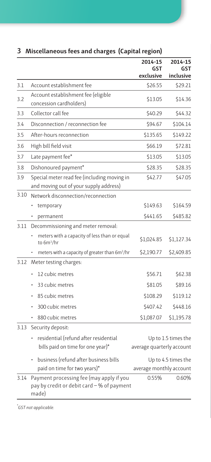|      |                                                                                                 | 2014-15<br>GST<br>exclusive | 2014-15<br>GST<br>inclusive |
|------|-------------------------------------------------------------------------------------------------|-----------------------------|-----------------------------|
| 3.1  | Account establishment fee                                                                       | \$26.55                     | \$29.21                     |
| 3.2  | Account establishment fee (eligible<br>concession cardholders)                                  | \$13.05                     | \$14.36                     |
| 3.3  | Collector call fee                                                                              | \$40.29                     | \$44.32                     |
| 3.4  | Disconnection / reconnection fee                                                                | \$94.67                     | \$104.14                    |
| 3.5  | After-hours reconnection                                                                        | \$135.65                    | \$149.22                    |
| 3.6  | High bill field visit                                                                           | \$66.19                     | \$72.81                     |
| 3.7  | Late payment fee*                                                                               | \$13.05                     | \$13.05                     |
| 3.8  | Dishonoured payment*                                                                            | \$28.35                     | \$28.35                     |
| 3.9  | Special meter read fee (including moving in<br>and moving out of your supply address)           | \$42.77                     | \$47.05                     |
| 3.10 | Network disconnection/reconnection                                                              |                             |                             |
|      | temporary                                                                                       | \$149.63                    | \$164.59                    |
|      | permanent                                                                                       | \$441.65                    | \$485.82                    |
| 3.11 | Decommissioning and meter removal:                                                              |                             |                             |
|      | meters with a capacity of less than or equal<br>to 6m <sup>3</sup> /hr                          | \$1,024.85                  | \$1,127.34                  |
|      | meters with a capacity of greater than 6m <sup>3</sup> /hr                                      | \$2,190.77                  | \$2,409.85                  |
| 3.12 | Meter testing charges:                                                                          |                             |                             |
|      | 12 cubic metres                                                                                 | \$56.71                     | \$62.38                     |
|      | 33 cubic metres                                                                                 | \$81.05                     | \$89.16                     |
|      | 85 cubic metres                                                                                 | \$108.29                    | \$119.12                    |
|      | 300 cubic metres                                                                                | \$407.42                    | \$448.16                    |
|      | 880 cubic metres                                                                                | \$1,087.07                  | \$1,195.78                  |
| 3.13 | Security deposit:                                                                               |                             |                             |
|      | residential (refund after residential                                                           |                             | Up to 1.5 times the         |
|      | bills paid on time for one year)*                                                               | average quarterly account   |                             |
|      | • business (refund after business bills                                                         |                             | Up to 4.5 times the         |
|      | paid on time for two years)*                                                                    | average monthly account     |                             |
| 3.14 | Payment processing fee (may apply if you<br>pay by credit or debit card - % of payment<br>made) | 0.55%                       | 0.60%                       |

### **3 Miscellaneous fees and charges (Capital region)**

\* *GST not applicable.*